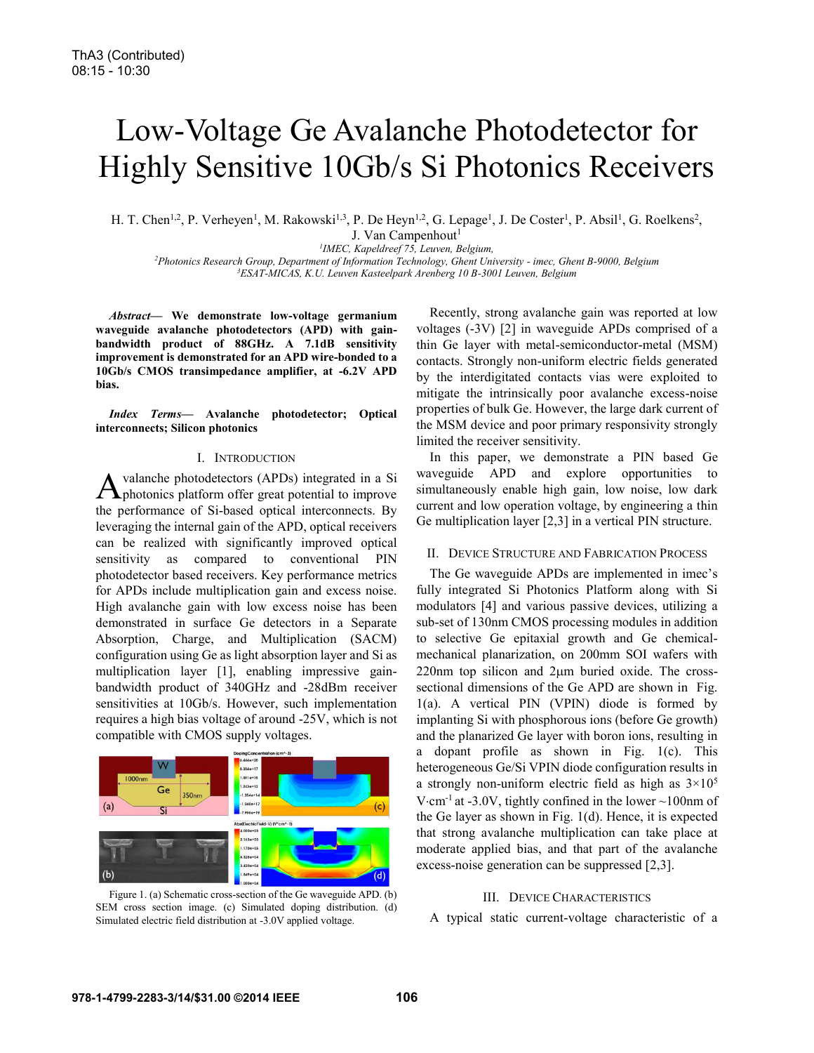# Low-Voltage Ge Avalanche Photodetector for Highly Sensitive 10Gb/s Si Photonics Receivers

H. T. Chen<sup>1,2</sup>, P. Verheyen<sup>1</sup>, M. Rakowski<sup>1,3</sup>, P. De Heyn<sup>1,2</sup>, G. Lepage<sup>1</sup>, J. De Coster<sup>1</sup>, P. Absil<sup>1</sup>, G. Roelkens<sup>2</sup>, J. Van Campenhout $<sup>1</sup>$ </sup>

<sup>1</sup>IMEC, Kapeldreef 75, Leuven, Belgium,

*IMEC, Kapeldreef 75, Leuven, Belgium, 2 Photonics Research Group, Department of Information Technology, Ghent University - imec, Ghent B-9000, Belgium 3 ESAT-MICAS, K.U. Leuven Kasteelpark Arenberg 10 B-3001 Leuven, Belgium*

*Abstract***— We demonstrate low-voltage germanium waveguide avalanche photodetectors (APD) with gainbandwidth product of 88GHz. A 7.1dB sensitivity improvement is demonstrated for an APD wire-bonded to a 10Gb/s CMOS transimpedance amplifier, at -6.2V APD bias.** 

*Index Terms***— Avalanche photodetector; Optical interconnects; Silicon photonics** 

## I. INTRODUCTION

valanche photodetectors (APDs) integrated in a Si A valanche photodetectors (APDs) integrated in a Si<br>
Aphotonics platform offer great potential to improve the performance of Si-based optical interconnects. By leveraging the internal gain of the APD, optical receivers can be realized with significantly improved optical sensitivity as compared to conventional PIN photodetector based receivers. Key performance metrics for APDs include multiplication gain and excess noise. High avalanche gain with low excess noise has been demonstrated in surface Ge detectors in a Separate Absorption, Charge, and Multiplication (SACM) configuration using Ge as light absorption layer and Si as multiplication layer [1], enabling impressive gainbandwidth product of 340GHz and -28dBm receiver sensitivities at 10Gb/s. However, such implementation requires a high bias voltage of around -25V, which is not compatible with CMOS supply voltages.



Figure 1. (a) Schematic cross-section of the Ge waveguide APD. (b) SEM cross section image. (c) Simulated doping distribution. (d) Simulated electric field distribution at -3.0V applied voltage.

Recently, strong avalanche gain was reported at low voltages (-3V) [2] in waveguide APDs comprised of a thin Ge layer with metal-semiconductor-metal (MSM) contacts. Strongly non-uniform electric fields generated by the interdigitated contacts vias were exploited to mitigate the intrinsically poor avalanche excess-noise properties of bulk Ge. However, the large dark current of the MSM device and poor primary responsivity strongly limited the receiver sensitivity.

In this paper, we demonstrate a PIN based Ge waveguide APD and explore opportunities to simultaneously enable high gain, low noise, low dark current and low operation voltage, by engineering a thin Ge multiplication layer [2,3] in a vertical PIN structure.

## II. DEVICE STRUCTURE AND FABRICATION PROCESS

The Ge waveguide APDs are implemented in imec's fully integrated Si Photonics Platform along with Si modulators [4] and various passive devices, utilizing a sub-set of 130nm CMOS processing modules in addition to selective Ge epitaxial growth and Ge chemicalmechanical planarization, on 200mm SOI wafers with  $220$ nm top silicon and  $2\mu$ m buried oxide. The crosssectional dimensions of the Ge APD are shown in Fig. 1(a). A vertical PIN (VPIN) diode is formed by implanting Si with phosphorous ions (before Ge growth) and the planarized Ge layer with boron ions, resulting in a dopant profile as shown in Fig. 1(c). This heterogeneous Ge/Si VPIN diode configuration results in a strongly non-uniform electric field as high as  $3\times10^5$ V $\cdot$ cm<sup>-1</sup> at -3.0V, tightly confined in the lower  $\sim$ 100nm of the Ge layer as shown in Fig. 1(d). Hence, it is expected that strong avalanche multiplication can take place at moderate applied bias, and that part of the avalanche excess-noise generation can be suppressed [2,3].

### III. DEVICE CHARACTERISTICS

A typical static current-voltage characteristic of a